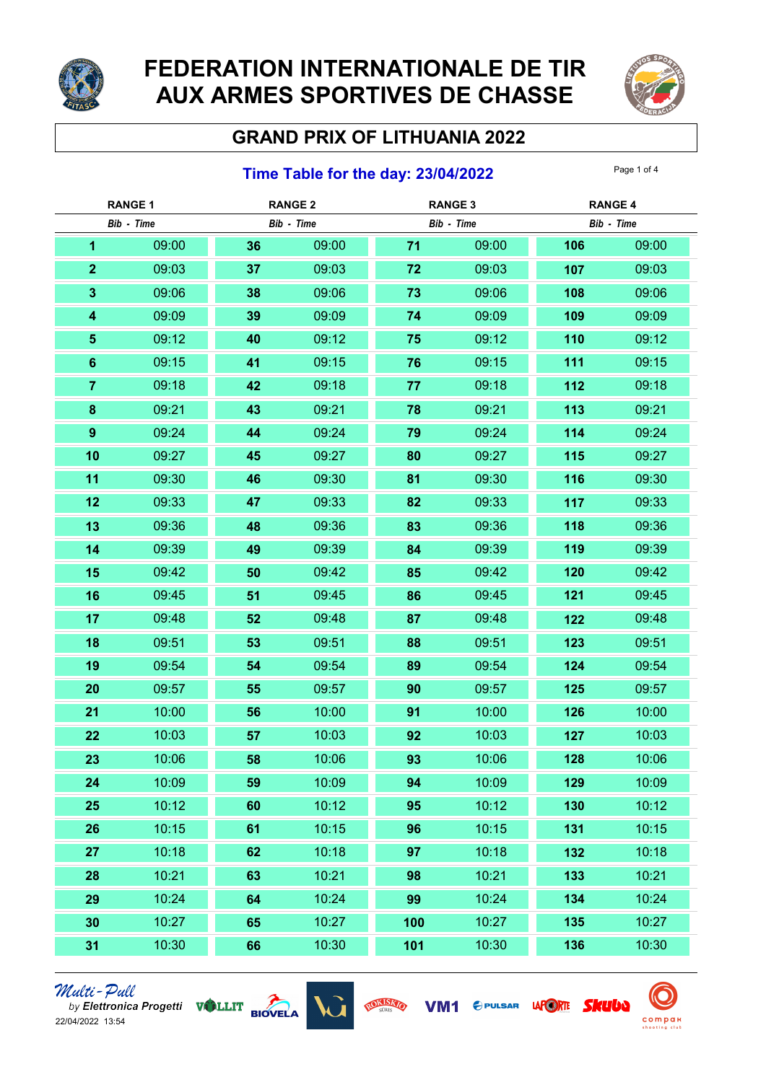

# FEDERATION INTERNATIONALE DE TIR AUX ARMES SPORTIVES DE CHASSE



## GRAND PRIX OF LITHUANIA 2022

### **Time Table for the day: 23/04/2022** Page 1 of 4

| <b>RANGE 1</b>          |       | <b>RANGE 2</b> |       | <b>RANGE 3</b> |       | <b>RANGE 4</b> |       |
|-------------------------|-------|----------------|-------|----------------|-------|----------------|-------|
| Bib - Time              |       | Bib - Time     |       | Bib - Time     |       | Bib - Time     |       |
| 1                       | 09:00 | 36             | 09:00 | $71$           | 09:00 | 106            | 09:00 |
| $\mathbf{2}$            | 09:03 | 37             | 09:03 | 72             | 09:03 | 107            | 09:03 |
| 3                       | 09:06 | 38             | 09:06 | 73             | 09:06 | 108            | 09:06 |
| $\overline{\mathbf{4}}$ | 09:09 | 39             | 09:09 | 74             | 09:09 | 109            | 09:09 |
| $\sqrt{5}$              | 09:12 | 40             | 09:12 | 75             | 09:12 | 110            | 09:12 |
| $6\phantom{a}$          | 09:15 | 41             | 09:15 | 76             | 09:15 | 111            | 09:15 |
| $\overline{7}$          | 09:18 | 42             | 09:18 | 77             | 09:18 | 112            | 09:18 |
| $\bf{8}$                | 09:21 | 43             | 09:21 | 78             | 09:21 | 113            | 09:21 |
| $\pmb{9}$               | 09:24 | 44             | 09:24 | 79             | 09:24 | 114            | 09:24 |
| 10                      | 09:27 | 45             | 09:27 | 80             | 09:27 | 115            | 09:27 |
| 11                      | 09:30 | 46             | 09:30 | 81             | 09:30 | 116            | 09:30 |
| 12                      | 09:33 | 47             | 09:33 | 82             | 09:33 | 117            | 09:33 |
| 13                      | 09:36 | 48             | 09:36 | 83             | 09:36 | 118            | 09:36 |
| 14                      | 09:39 | 49             | 09:39 | 84             | 09:39 | 119            | 09:39 |
| 15                      | 09:42 | 50             | 09:42 | 85             | 09:42 | 120            | 09:42 |
| 16                      | 09:45 | 51             | 09:45 | 86             | 09:45 | 121            | 09:45 |
| 17                      | 09:48 | 52             | 09:48 | 87             | 09:48 | 122            | 09:48 |
| 18                      | 09:51 | 53             | 09:51 | 88             | 09:51 | 123            | 09:51 |
| 19                      | 09:54 | 54             | 09:54 | 89             | 09:54 | 124            | 09:54 |
| 20                      | 09:57 | 55             | 09:57 | 90             | 09:57 | 125            | 09:57 |
| 21                      | 10:00 | 56             | 10:00 | 91             | 10:00 | 126            | 10:00 |
| 22                      | 10:03 | 57             | 10:03 | 92             | 10:03 | 127            | 10:03 |
| 23                      | 10:06 | 58             | 10:06 | 93             | 10:06 | 128            | 10:06 |
| 24                      | 10:09 | 59             | 10:09 | 94             | 10:09 | 129            | 10:09 |
| 25                      | 10:12 | 60             | 10:12 | 95             | 10:12 | 130            | 10:12 |
| 26                      | 10:15 | 61             | 10:15 | 96             | 10:15 | 131            | 10:15 |
| 27                      | 10:18 | 62             | 10:18 | 97             | 10:18 | 132            | 10:18 |
| 28                      | 10:21 | 63             | 10:21 | 98             | 10:21 | 133            | 10:21 |
| 29                      | 10:24 | 64             | 10:24 | 99             | 10:24 | 134            | 10:24 |
| 30                      | 10:27 | 65             | 10:27 | 100            | 10:27 | 135            | 10:27 |
| 31                      | 10:30 | 66             | 10:30 | 101            | 10:30 | 136            | 10:30 |





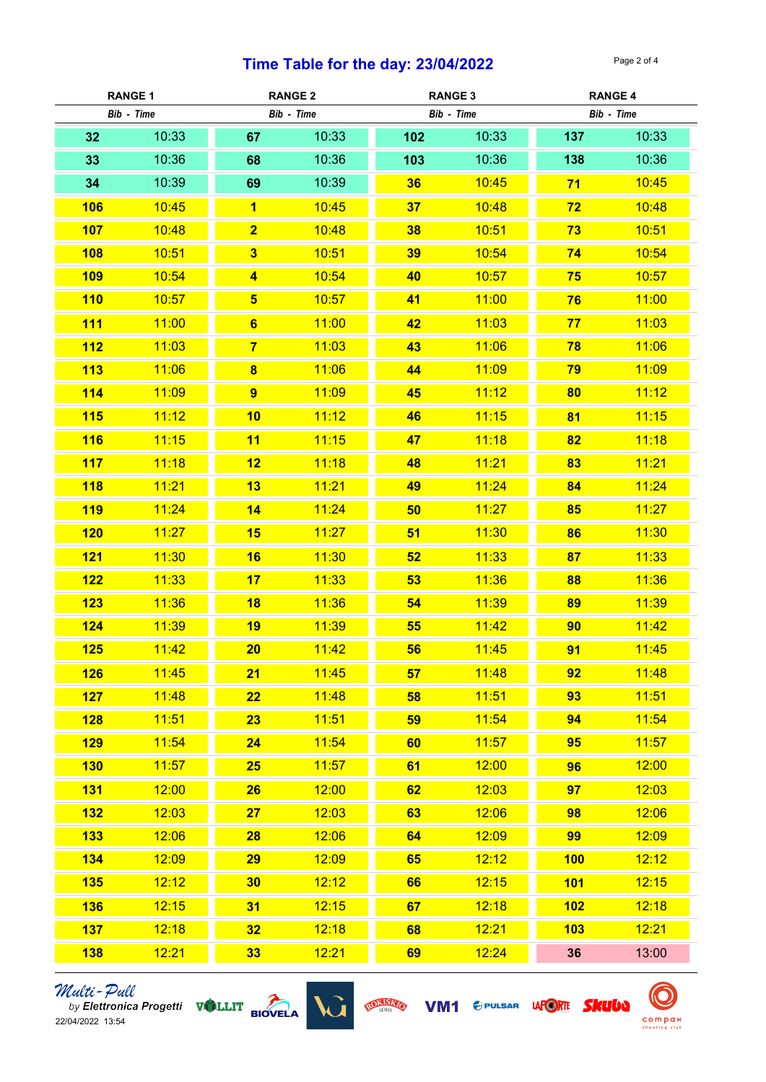### Time Table for the day:  $23/04/2022$  Page 2 of 4

| <b>RANGE 1</b> |       | <b>RANGE 2</b>          |       | <b>RANGE 3</b> |       | <b>RANGE 4</b> |       |
|----------------|-------|-------------------------|-------|----------------|-------|----------------|-------|
| Bib - Time     |       | Bib - Time              |       | Bib - Time     |       | Bib - Time     |       |
| 32             | 10:33 | 67                      | 10:33 | 102            | 10:33 | 137            | 10:33 |
| 33             | 10:36 | 68                      | 10:36 | 103            | 10:36 | 138            | 10:36 |
| 34             | 10:39 | 69                      | 10:39 | 36             | 10:45 | 71             | 10:45 |
| 106            | 10:45 | $\overline{1}$          | 10:45 | 37             | 10:48 | 72             | 10:48 |
| <b>107</b>     | 10:48 | $\overline{\mathbf{2}}$ | 10:48 | 38             | 10:51 | 73             | 10:51 |
| 108            | 10:51 | $\overline{\mathbf{3}}$ | 10:51 | 39             | 10:54 | 74             | 10:54 |
| 109            | 10:54 | $\overline{\mathbf{4}}$ | 10:54 | 40             | 10:57 | 75             | 10:57 |
| 110            | 10:57 | $5\overline{)}$         | 10:57 | 41             | 11:00 | 76             | 11:00 |
| <b>111</b>     | 11:00 | $6\phantom{1}$          | 11:00 | 42             | 11:03 | 77             | 11:03 |
| 112            | 11:03 | $\overline{7}$          | 11:03 | 43             | 11:06 | 78             | 11:06 |
| 113            | 11:06 | $\overline{\mathbf{8}}$ | 11:06 | 44             | 11:09 | 79             | 11:09 |
| 114            | 11:09 | $\overline{9}$          | 11:09 | 45             | 11:12 | 80             | 11:12 |
| 115            | 11:12 | 10                      | 11:12 | 46             | 11:15 | 81             | 11:15 |
| <b>116</b>     | 11:15 | 11                      | 11:15 | 47             | 11:18 | 82             | 11:18 |
| 117            | 11:18 | 12                      | 11:18 | 48             | 11:21 | 83             | 11:21 |
| 118            | 11:21 | 13                      | 11:21 | 49             | 11:24 | 84             | 11:24 |
| <b>119</b>     | 11:24 | 14                      | 11:24 | 50             | 11:27 | 85             | 11:27 |
| 120            | 11:27 | 15                      | 11:27 | 51             | 11:30 | 86             | 11:30 |
| 121            | 11:30 | 16                      | 11:30 | 52             | 11:33 | 87             | 11:33 |
| 122            | 11:33 | 17                      | 11:33 | 53             | 11:36 | 88             | 11:36 |
| 123            | 11:36 | 18                      | 11:36 | 54             | 11:39 | 89             | 11:39 |
| 124            | 11:39 | 19                      | 11:39 | 55             | 11:42 | 90             | 11:42 |
| 125            | 11:42 | 20                      | 11:42 | 56             | 11:45 | 91             | 11:45 |
| 126            | 11:45 | 21                      | 11:45 | 57             | 11:48 | 92             | 11:48 |
| 127            | 11:48 | 22                      | 11:48 | 58             | 11:51 | 93             | 11:51 |
| 128            | 11:51 | 23                      | 11:51 | 59             | 11:54 | 94             | 11:54 |
| 129            | 11:54 | 24                      | 11:54 | 60             | 11:57 | 95             | 11:57 |
| 130            | 11:57 | 25                      | 11:57 | 61             | 12:00 | 96             | 12:00 |
| <b>131</b>     | 12:00 | 26                      | 12:00 | 62             | 12:03 | 97             | 12:03 |
| 132            | 12:03 | 27                      | 12:03 | 63             | 12:06 | 98             | 12:06 |
| <b>133</b>     | 12:06 | 28                      | 12:06 | 64             | 12:09 | 99             | 12:09 |
| 134            | 12:09 | 29                      | 12:09 | 65             | 12:12 | 100            | 12:12 |
| 135            | 12:12 | 30                      | 12:12 | 66             | 12:15 | 101            | 12:15 |
| <b>136</b>     | 12:15 | 31                      | 12:15 | 67             | 12:18 | 102            | 12:18 |
| 137            | 12:18 | 32                      | 12:18 | 68             | 12:21 | 103            | 12:21 |
| <b>138</b>     | 12:21 | 33                      | 12:21 | 69             | 12:24 | 36             | 13:00 |





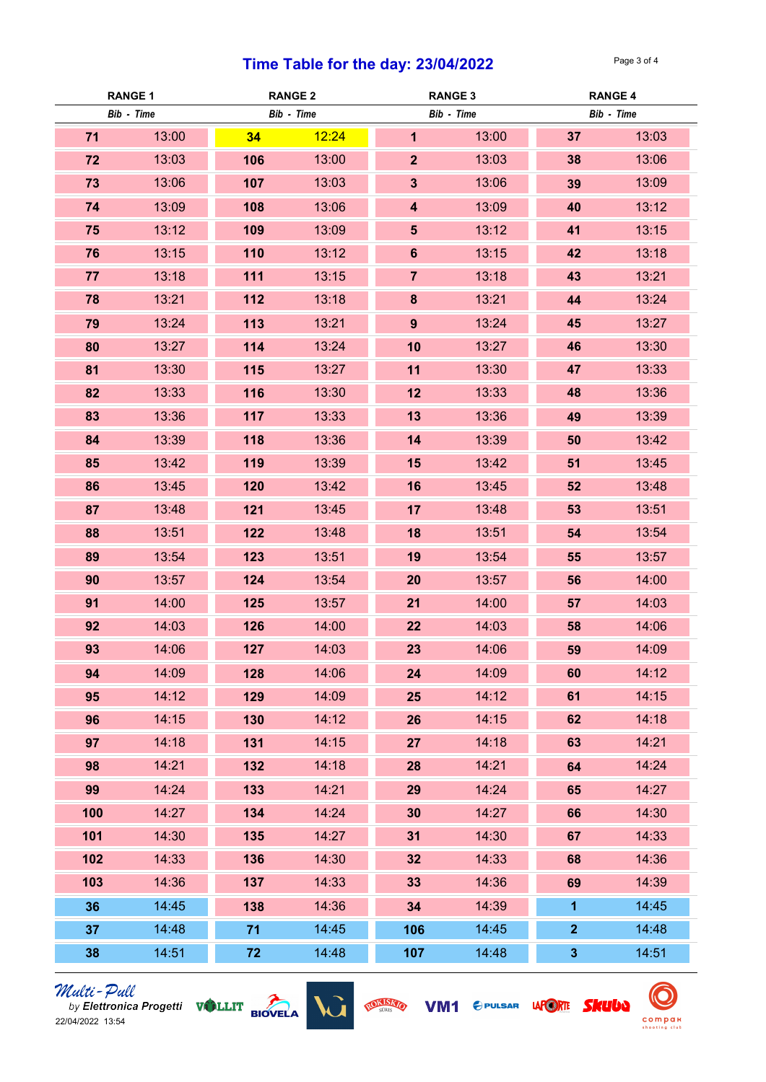### **Time Table for the day: 23/04/2022** Page 3 of 4

| <b>RANGE 1</b> |            | <b>RANGE 2</b> |       | <b>RANGE 3</b>          |       | <b>RANGE 4</b> |       |
|----------------|------------|----------------|-------|-------------------------|-------|----------------|-------|
|                | Bib - Time | Bib - Time     |       | Bib - Time              |       | Bib - Time     |       |
| 71             | 13:00      | 34             | 12:24 | $\mathbf{1}$            | 13:00 | 37             | 13:03 |
| 72             | 13:03      | 106            | 13:00 | 2 <sup>1</sup>          | 13:03 | 38             | 13:06 |
| 73             | 13:06      | 107            | 13:03 | $\overline{\mathbf{3}}$ | 13:06 | 39             | 13:09 |
| 74             | 13:09      | 108            | 13:06 | $\overline{\mathbf{4}}$ | 13:09 | 40             | 13:12 |
| 75             | 13:12      | 109            | 13:09 | 5 <sup>5</sup>          | 13:12 | 41             | 13:15 |
| 76             | 13:15      | 110            | 13:12 | $6\phantom{a}$          | 13:15 | 42             | 13:18 |
| 77             | 13:18      | 111            | 13:15 | $\overline{7}$          | 13:18 | 43             | 13:21 |
| 78             | 13:21      | 112            | 13:18 | 8                       | 13:21 | 44             | 13:24 |
| 79             | 13:24      | 113            | 13:21 | 9                       | 13:24 | 45             | 13:27 |
| 80             | 13:27      | 114            | 13:24 | 10                      | 13:27 | 46             | 13:30 |
| 81             | 13:30      | 115            | 13:27 | 11                      | 13:30 | 47             | 13:33 |
| 82             | 13:33      | 116            | 13:30 | 12                      | 13:33 | 48             | 13:36 |
| 83             | 13:36      | 117            | 13:33 | 13                      | 13:36 | 49             | 13:39 |
| 84             | 13:39      | 118            | 13:36 | 14                      | 13:39 | 50             | 13:42 |
| 85             | 13:42      | 119            | 13:39 | 15                      | 13:42 | 51             | 13:45 |
| 86             | 13:45      | 120            | 13:42 | 16                      | 13:45 | 52             | 13:48 |
| 87             | 13:48      | 121            | 13:45 | 17                      | 13:48 | 53             | 13:51 |
| 88             | 13:51      | 122            | 13:48 | 18                      | 13:51 | 54             | 13:54 |
| 89             | 13:54      | 123            | 13:51 | 19                      | 13:54 | 55             | 13:57 |
| 90             | 13:57      | 124            | 13:54 | 20                      | 13:57 | 56             | 14:00 |
| 91             | 14:00      | 125            | 13:57 | 21                      | 14:00 | 57             | 14:03 |
| 92             | 14:03      | 126            | 14:00 | 22                      | 14:03 | 58             | 14:06 |
| 93             | 14:06      | 127            | 14:03 | 23                      | 14:06 | 59             | 14:09 |
| 94             | 14:09      | 128            | 14:06 | 24                      | 14:09 | 60             | 14:12 |
| 95             | 14:12      | 129            | 14:09 | 25                      | 14:12 | 61             | 14:15 |
| 96             | 14:15      | 130            | 14:12 | 26                      | 14:15 | 62             | 14:18 |
| 97             | 14:18      | 131            | 14:15 | 27                      | 14:18 | 63             | 14:21 |
| 98             | 14:21      | 132            | 14:18 | 28                      | 14:21 | 64             | 14:24 |
| 99             | 14:24      | 133            | 14:21 | 29                      | 14:24 | 65             | 14:27 |
| 100            | 14:27      | 134            | 14:24 | 30                      | 14:27 | 66             | 14:30 |
| 101            | 14:30      | 135            | 14:27 | 31                      | 14:30 | 67             | 14:33 |
| 102            | 14:33      | 136            | 14:30 | 32                      | 14:33 | 68             | 14:36 |
| 103            | 14:36      | 137            | 14:33 | 33                      | 14:36 | 69             | 14:39 |
| 36             | 14:45      | 138            | 14:36 | 34                      | 14:39 | 1              | 14:45 |
| 37             | 14:48      | 71             | 14:45 | 106                     | 14:45 | $\overline{2}$ | 14:48 |
| 38             | 14:51      | 72             | 14:48 | 107                     | 14:48 | $\mathbf{3}$   | 14:51 |



*Multi-Pull*<br>by Elettronica Progetti **VALLIT** BIOVELA



VM1 CPULSAR LAPORTE SKUUD ROKISKO